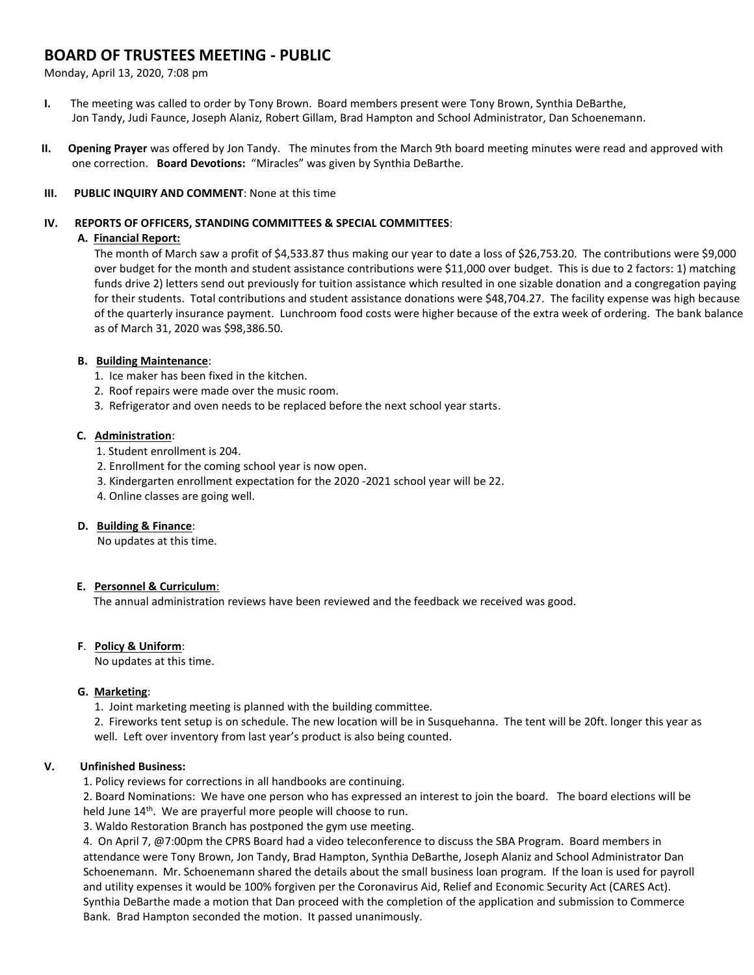# **BOARD OF TRUSTEES MEETING - PUBLIC**

Monday, April 13, 2020, 7:08 pm

- **I.** The meeting was called to order by Tony Brown. Board members present were Tony Brown, Synthia DeBarthe, Jon Tandy, Judi Faunce, Joseph Alaniz, Robert Gillam, Brad Hampton and School Administrator, Dan Schoenemann.
- **II. Opening Prayer** was offered by Jon Tandy. The minutes from the March 9th board meeting minutes were read and approved with one correction. **Board Devotions:** "Miracles" was given by Synthia DeBarthe.

### **III. PUBLIC INQUIRY AND COMMENT**: None at this time

#### **IV. REPORTS OF OFFICERS, STANDING COMMITTEES & SPECIAL COMMITTEES**:

### **A. Financial Report:**

The month of March saw a profit of \$4,533.87 thus making our year to date a loss of \$26,753.20. The contributions were \$9,000 over budget for the month and student assistance contributions were \$11,000 over budget. This is due to 2 factors: 1) matching funds drive 2) letters send out previously for tuition assistance which resulted in one sizable donation and a congregation paying for their students. Total contributions and student assistance donations were \$48,704.27. The facility expense was high because of the quarterly insurance payment. Lunchroom food costs were higher because of the extra week of ordering. The bank balance as of March 31, 2020 was \$98,386.50.

### **B. Building Maintenance**:

- 1. Ice maker has been fixed in the kitchen.
- 2. Roof repairs were made over the music room.
- 3. Refrigerator and oven needs to be replaced before the next school year starts.

### **C. Administration**:

- 1. Student enrollment is 204.
- 2. Enrollment for the coming school year is now open.
- 3. Kindergarten enrollment expectation for the 2020 -2021 school year will be 22.
- 4. Online classes are going well.

#### **D. Building & Finance**:

No updates at this time.

# **E. Personnel & Curriculum**:

The annual administration reviews have been reviewed and the feedback we received was good.

# **F**. **Policy & Uniform**:

No updates at this time.

# **G. Marketing**:

1. Joint marketing meeting is planned with the building committee.

2. Fireworks tent setup is on schedule. The new location will be in Susquehanna. The tent will be 20ft. longer this year as well. Left over inventory from last year's product is also being counted.

# **V. Unfinished Business:**

1. Policy reviews for corrections in all handbooks are continuing.

2. Board Nominations: We have one person who has expressed an interest to join the board. The board elections will be held June 14<sup>th</sup>. We are prayerful more people will choose to run.

3. Waldo Restoration Branch has postponed the gym use meeting.

4. On April 7, @7:00pm the CPRS Board had a video teleconference to discuss the SBA Program. Board members in attendance were Tony Brown, Jon Tandy, Brad Hampton, Synthia DeBarthe, Joseph Alaniz and School Administrator Dan Schoenemann. Mr. Schoenemann shared the details about the small business loan program. If the loan is used for payroll and utility expenses it would be 100% forgiven per the Coronavirus Aid, Relief and Economic Security Act (CARES Act). Synthia DeBarthe made a motion that Dan proceed with the completion of the application and submission to Commerce Bank. Brad Hampton seconded the motion. It passed unanimously.